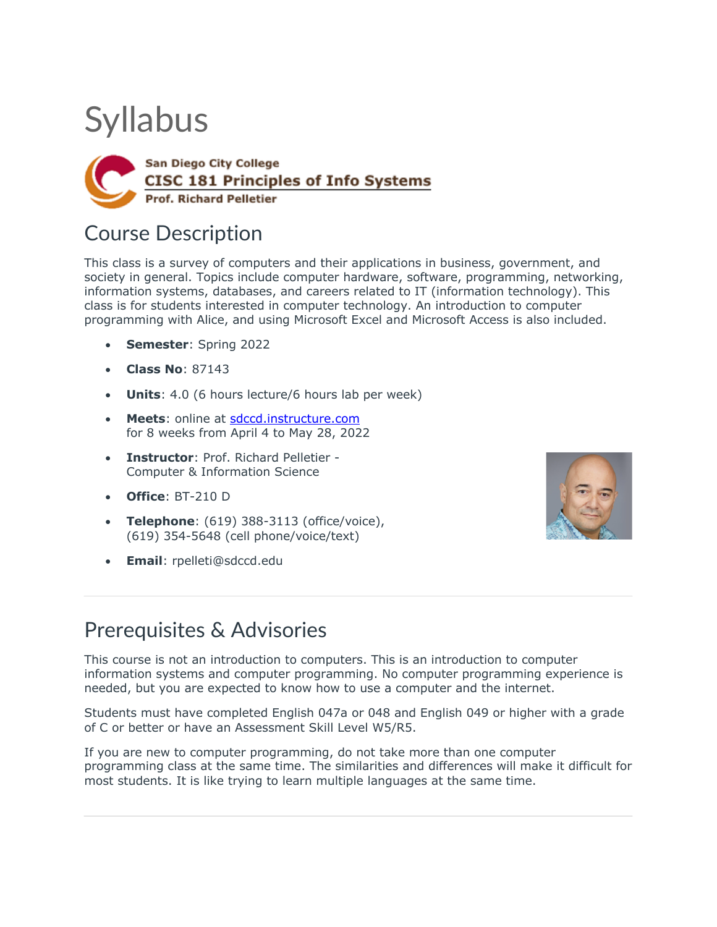# **Syllabus**



### Course Description

This class is a survey of computers and their applications in business, government, and society in general. Topics include computer hardware, software, programming, networking, information systems, databases, and careers related to IT (information technology). This class is for students interested in computer technology. An introduction to computer programming with Alice, and using Microsoft Excel and Microsoft Access is also included.

- **Semester**: Spring 2022
- **Class No**: 87143
- **Units**: 4.0 (6 hours lecture/6 hours lab per week)
- **Meets**: online at sdccd.instructure.com for 8 weeks from April 4 to May 28, 2022
- **Instructor**: Prof. Richard Pelletier Computer & Information Science
- **Office**: BT-210 D
- **Telephone**: (619) 388-3113 (office/voice), (619) 354-5648 (cell phone/voice/text)
- **Email**: rpelleti@sdccd.edu



### Prerequisites & Advisories

This course is not an introduction to computers. This is an introduction to computer information systems and computer programming. No computer programming experience is needed, but you are expected to know how to use a computer and the internet.

Students must have completed English 047a or 048 and English 049 or higher with a grade of C or better or have an Assessment Skill Level W5/R5.

If you are new to computer programming, do not take more than one computer programming class at the same time. The similarities and differences will make it difficult for most students. It is like trying to learn multiple languages at the same time.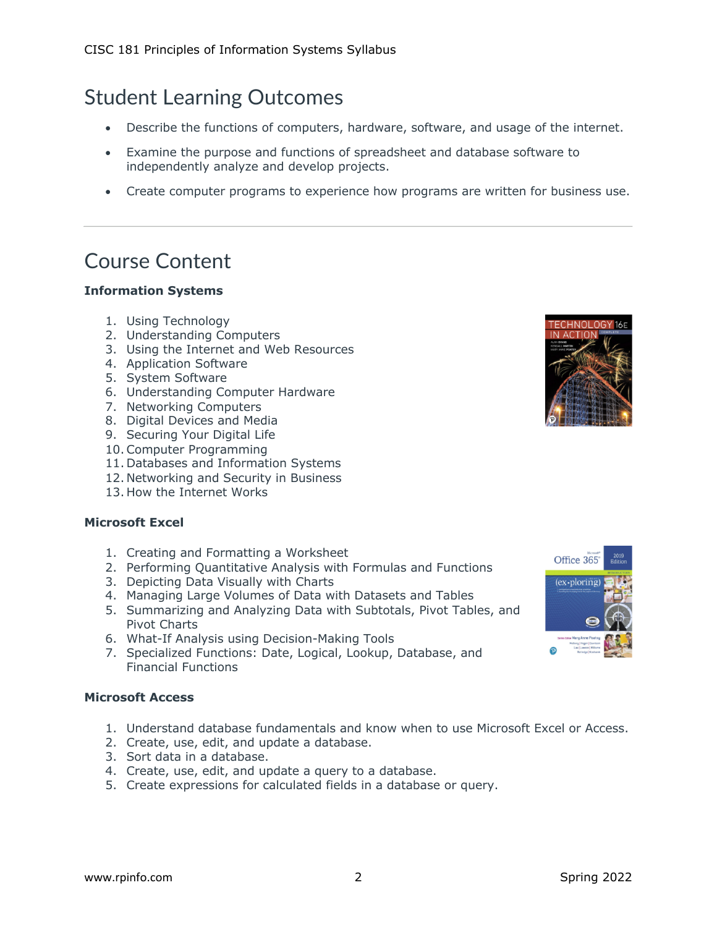# Student Learning Outcomes

- Describe the functions of computers, hardware, software, and usage of the internet.
- Examine the purpose and functions of spreadsheet and database software to independently analyze and develop projects.
- Create computer programs to experience how programs are written for business use.

### Course Content

#### **Information Systems**

- 1. Using Technology
- 2. Understanding Computers
- 3. Using the Internet and Web Resources
- 4. Application Software
- 5. System Software
- 6. Understanding Computer Hardware
- 7. Networking Computers
- 8. Digital Devices and Media
- 9. Securing Your Digital Life
- 10.Computer Programming
- 11. Databases and Information Systems
- 12. Networking and Security in Business
- 13. How the Internet Works

#### **Microsoft Excel**

- 1. Creating and Formatting a Worksheet
- 2. Performing Quantitative Analysis with Formulas and Functions
- 3. Depicting Data Visually with Charts
- 4. Managing Large Volumes of Data with Datasets and Tables
- 5. Summarizing and Analyzing Data with Subtotals, Pivot Tables, and Pivot Charts
- 6. What-If Analysis using Decision-Making Tools
- 7. Specialized Functions: Date, Logical, Lookup, Database, and Financial Functions

#### **Microsoft Access**

- 1. Understand database fundamentals and know when to use Microsoft Excel or Access.
- 2. Create, use, edit, and update a database.
- 3. Sort data in a database.
- 4. Create, use, edit, and update a query to a database.
- 5. Create expressions for calculated fields in a database or query.



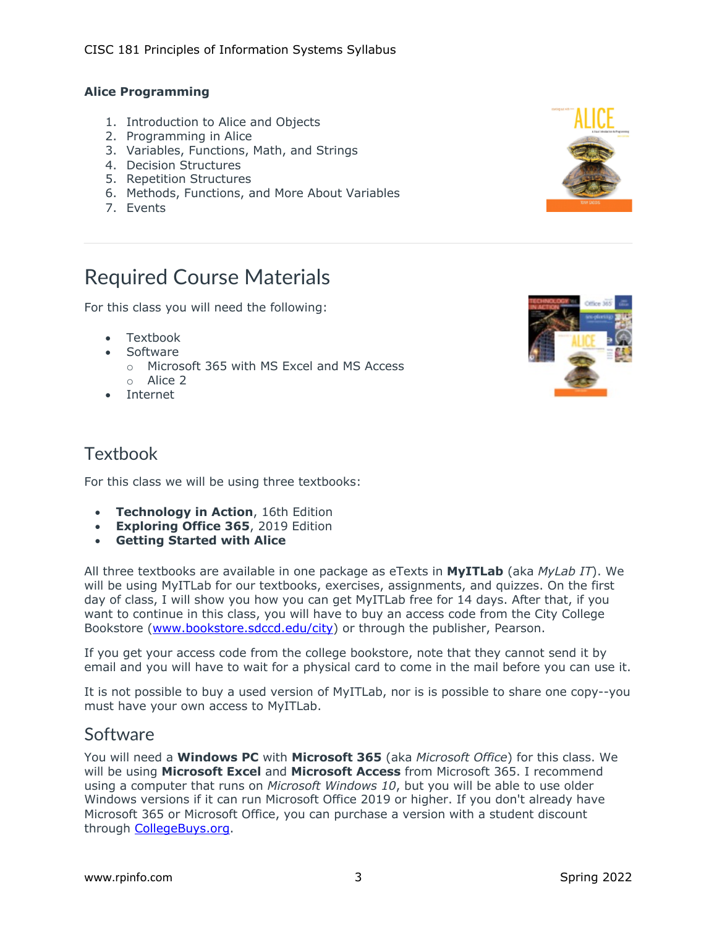#### **Alice Programming**

- 1. Introduction to Alice and Objects
- 2. Programming in Alice
- 3. Variables, Functions, Math, and Strings
- 4. Decision Structures
- 5. Repetition Structures
- 6. Methods, Functions, and More About Variables
- 7. Events

# Required Course Materials

For this class you will need the following:

- Textbook
- Software
	- o Microsoft 365 with MS Excel and MS Access
	- o Alice 2
- Internet



#### **Textbook**

For this class we will be using three textbooks:

- **Technology in Action**, 16th Edition
- **Exploring Office 365**, 2019 Edition
- **Getting Started with Alice**

All three textbooks are available in one package as eTexts in **MyITLab** (aka *MyLab IT*). We will be using MyITLab for our textbooks, exercises, assignments, and quizzes. On the first day of class, I will show you how you can get MyITLab free for 14 days. After that, if you want to continue in this class, you will have to buy an access code from the City College Bookstore (www.bookstore.sdccd.edu/city) or through the publisher, Pearson.

If you get your access code from the college bookstore, note that they cannot send it by email and you will have to wait for a physical card to come in the mail before you can use it.

It is not possible to buy a used version of MyITLab, nor is is possible to share one copy--you must have your own access to MyITLab.

#### Software

You will need a **Windows PC** with **Microsoft 365** (aka *Microsoft Office*) for this class. We will be using **Microsoft Excel** and **Microsoft Access** from Microsoft 365. I recommend using a computer that runs on *Microsoft Windows 10*, but you will be able to use older Windows versions if it can run Microsoft Office 2019 or higher. If you don't already have Microsoft 365 or Microsoft Office, you can purchase a version with a student discount through CollegeBuys.org.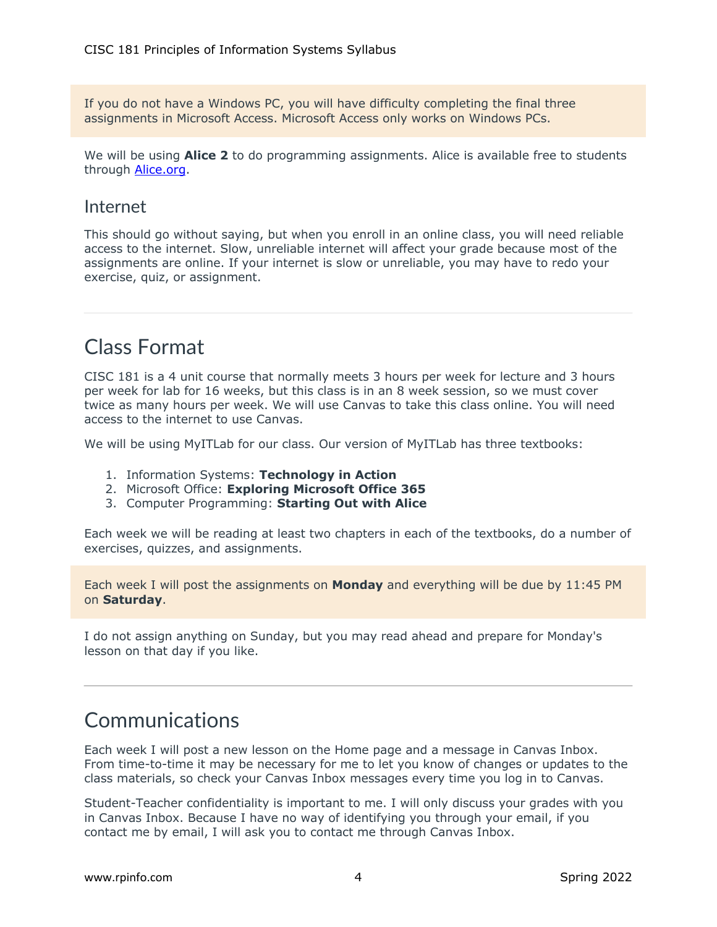If you do not have a Windows PC, you will have difficulty completing the final three assignments in Microsoft Access. Microsoft Access only works on Windows PCs.

We will be using **Alice 2** to do programming assignments. Alice is available free to students through **Alice.org**.

#### Internet

This should go without saying, but when you enroll in an online class, you will need reliable access to the internet. Slow, unreliable internet will affect your grade because most of the assignments are online. If your internet is slow or unreliable, you may have to redo your exercise, quiz, or assignment.

# Class Format

CISC 181 is a 4 unit course that normally meets 3 hours per week for lecture and 3 hours per week for lab for 16 weeks, but this class is in an 8 week session, so we must cover twice as many hours per week. We will use Canvas to take this class online. You will need access to the internet to use Canvas.

We will be using MyITLab for our class. Our version of MyITLab has three textbooks:

- 1. Information Systems: **Technology in Action**
- 2. Microsoft Office: **Exploring Microsoft Office 365**
- 3. Computer Programming: **Starting Out with Alice**

Each week we will be reading at least two chapters in each of the textbooks, do a number of exercises, quizzes, and assignments.

Each week I will post the assignments on **Monday** and everything will be due by 11:45 PM on **Saturday**.

I do not assign anything on Sunday, but you may read ahead and prepare for Monday's lesson on that day if you like.

### Communications

Each week I will post a new lesson on the Home page and a message in Canvas Inbox. From time-to-time it may be necessary for me to let you know of changes or updates to the class materials, so check your Canvas Inbox messages every time you log in to Canvas.

Student-Teacher confidentiality is important to me. I will only discuss your grades with you in Canvas Inbox. Because I have no way of identifying you through your email, if you contact me by email, I will ask you to contact me through Canvas Inbox.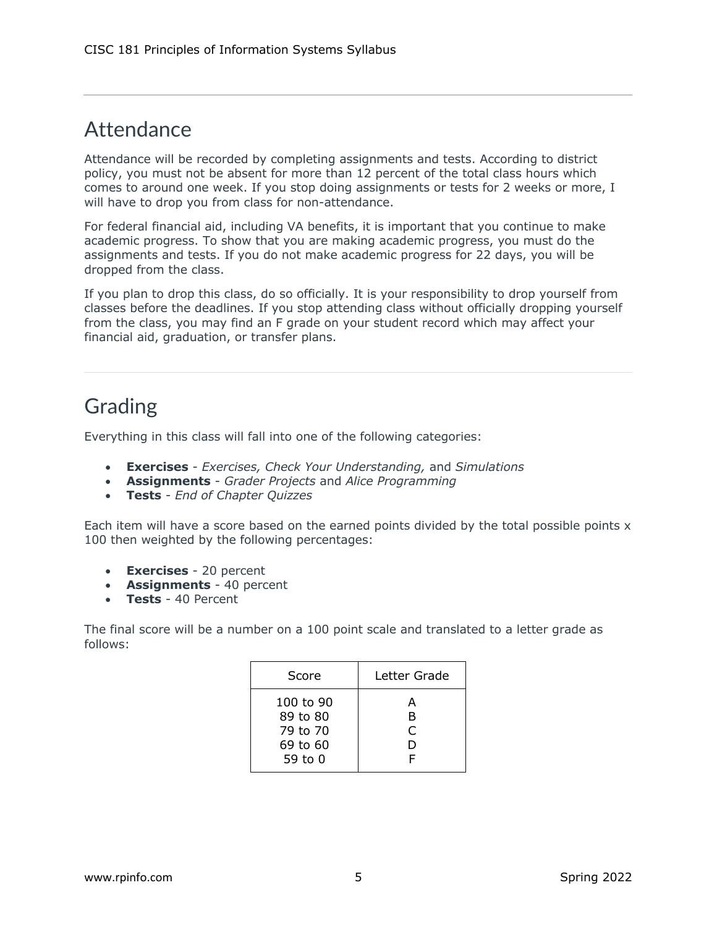### **Attendance**

Attendance will be recorded by completing assignments and tests. According to district policy, you must not be absent for more than 12 percent of the total class hours which comes to around one week. If you stop doing assignments or tests for 2 weeks or more, I will have to drop you from class for non-attendance.

For federal financial aid, including VA benefits, it is important that you continue to make academic progress. To show that you are making academic progress, you must do the assignments and tests. If you do not make academic progress for 22 days, you will be dropped from the class.

If you plan to drop this class, do so officially. It is your responsibility to drop yourself from classes before the deadlines. If you stop attending class without officially dropping yourself from the class, you may find an F grade on your student record which may affect your financial aid, graduation, or transfer plans.

### Grading

Everything in this class will fall into one of the following categories:

- **Exercises** *Exercises, Check Your Understanding,* and *Simulations*
- **Assignments** *Grader Projects* and *Alice Programming*
- **Tests** *End of Chapter Quizzes*

Each item will have a score based on the earned points divided by the total possible points x 100 then weighted by the following percentages:

- **Exercises** 20 percent
- **Assignments** 40 percent
- **Tests** 40 Percent

The final score will be a number on a 100 point scale and translated to a letter grade as follows:

| Score                                                    | Letter Grade       |  |
|----------------------------------------------------------|--------------------|--|
| 100 to 90<br>89 to 80<br>79 to 70<br>69 to 60<br>59 to 0 | А<br>в<br>C<br>נ ו |  |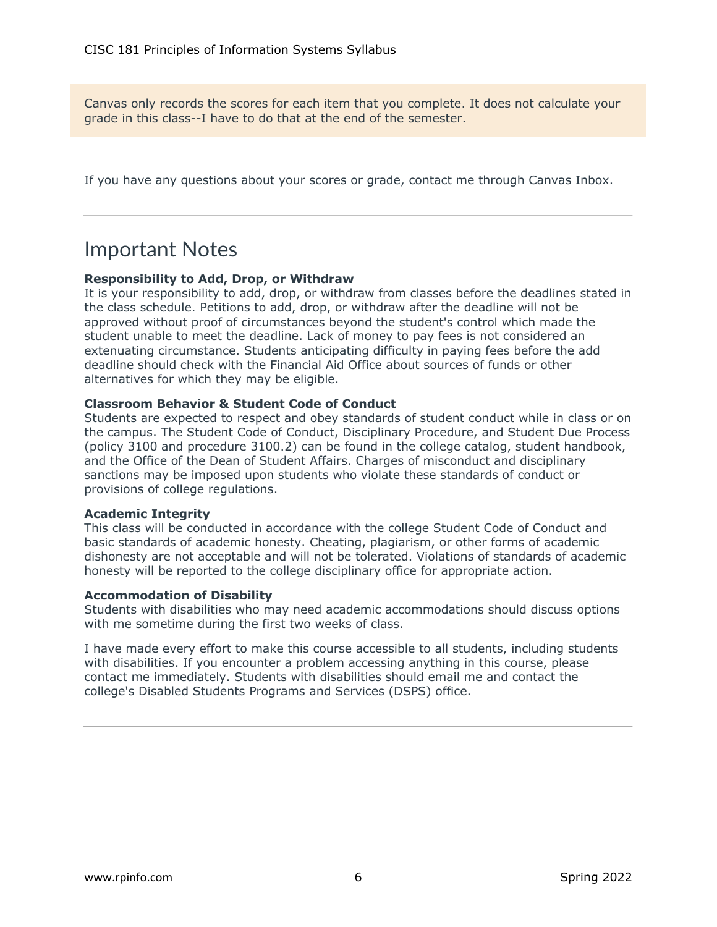Canvas only records the scores for each item that you complete. It does not calculate your grade in this class--I have to do that at the end of the semester.

If you have any questions about your scores or grade, contact me through Canvas Inbox.

#### Important Notes

#### **Responsibility to Add, Drop, or Withdraw**

It is your responsibility to add, drop, or withdraw from classes before the deadlines stated in the class schedule. Petitions to add, drop, or withdraw after the deadline will not be approved without proof of circumstances beyond the student's control which made the student unable to meet the deadline. Lack of money to pay fees is not considered an extenuating circumstance. Students anticipating difficulty in paying fees before the add deadline should check with the Financial Aid Office about sources of funds or other alternatives for which they may be eligible.

#### **Classroom Behavior & Student Code of Conduct**

Students are expected to respect and obey standards of student conduct while in class or on the campus. The Student Code of Conduct, Disciplinary Procedure, and Student Due Process (policy 3100 and procedure 3100.2) can be found in the college catalog, student handbook, and the Office of the Dean of Student Affairs. Charges of misconduct and disciplinary sanctions may be imposed upon students who violate these standards of conduct or provisions of college regulations.

#### **Academic Integrity**

This class will be conducted in accordance with the college Student Code of Conduct and basic standards of academic honesty. Cheating, plagiarism, or other forms of academic dishonesty are not acceptable and will not be tolerated. Violations of standards of academic honesty will be reported to the college disciplinary office for appropriate action.

#### **Accommodation of Disability**

Students with disabilities who may need academic accommodations should discuss options with me sometime during the first two weeks of class.

I have made every effort to make this course accessible to all students, including students with disabilities. If you encounter a problem accessing anything in this course, please contact me immediately. Students with disabilities should email me and contact the college's Disabled Students Programs and Services (DSPS) office.